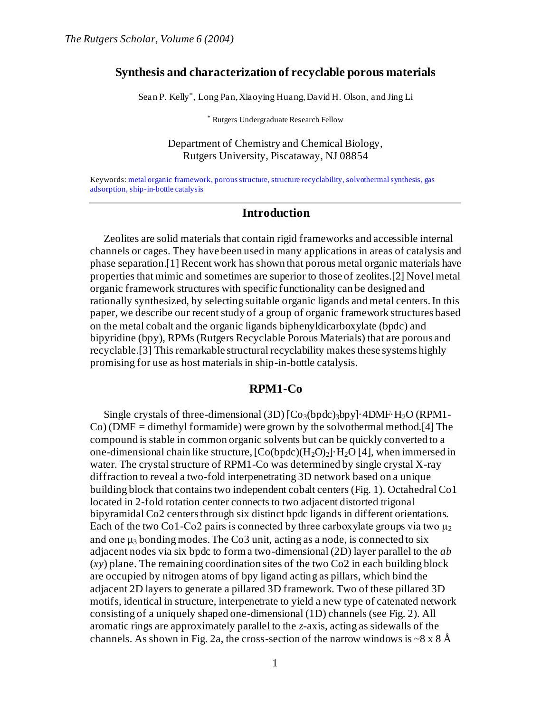#### **Synthesis and characterization of recyclable porous materials**

Sean P. Kelly\* , Long Pan, Xiaoying Huang, David H. Olson, and Jing Li

\* Rutgers Undergraduate Research Fellow

#### Department of Chemistry and Chemical Biology, Rutgers University, Piscataway, NJ 08854

Keywords: metal organic framework, porous structure, structure recyclability, solvothermal synthesis, gas adsorption, ship-in-bottle catalysis

#### **Introduction**

Zeolites are solid materials that contain rigid frameworks and accessible internal channels or cages. They have been used in many applications in areas of catalysis and phase separation.[1] Recent work has shown that porous metal organic materials have properties that mimic and sometimes are superior to those of zeolites.[2] Novel metal organic framework structures with specific functionality can be designed and rationally synthesized, by selecting suitable organic ligands and metal centers. In this paper, we describe our recent study of a group of organic framework structures based on the metal cobalt and the organic ligands biphenyldicarboxylate (bpdc) and bipyridine (bpy), RPMs (Rutgers Recyclable Porous Materials) that are porous and recyclable.[3] This remarkable structural recyclability makes these systems highly promising for use as host materials in ship-in-bottle catalysis.

#### **RPM1-Co**

Single crystals of three-dimensional (3D)  $[Co<sub>3</sub>(bpdc)<sub>3</sub>bpy]$  4DMF·H<sub>2</sub>O (RPM1-Co) (DMF = dimethyl formamide) were grown by the solvothermal method.[4] The compound is stable in common organic solvents but can be quickly converted to a one-dimensional chain like structure,  $[Co(bpdc)(H_2O)_2]$   $H_2O$  [4], when immersed in water. The crystal structure of RPM1-Co was determined by single crystal X-ray diffraction to reveal a two-fold interpenetrating 3D network based on a unique building block that contains two independent cobalt centers (Fig. 1). Octahedral Co1 located in 2-fold rotation center connects to two adjacent distorted trigonal bipyramidal Co2 centers through six distinct bpdc ligands in different orientations. Each of the two Co1-Co2 pairs is connected by three carboxylate groups via two  $\mu_2$ and one  $\mu_3$  bonding modes. The Co3 unit, acting as a node, is connected to six adjacent nodes via six bpdc to form a two-dimensional (2D) layer parallel to the *ab* (*xy*) plane. The remaining coordination sites of the two Co2 in each building block are occupied by nitrogen atoms of bpy ligand acting as pillars, which bind the adjacent 2D layers to generate a pillared 3D framework. Two of these pillared 3D motifs, identical in structure, interpenetrate to yield a new type of catenated network consisting of a uniquely shaped one-dimensional (1D) channels (see Fig. 2). All aromatic rings are approximately parallel to the *z*-axis, acting as sidewalls of the channels. As shown in Fig. 2a, the cross-section of the narrow windows is  $\sim 8 \times 8$  Å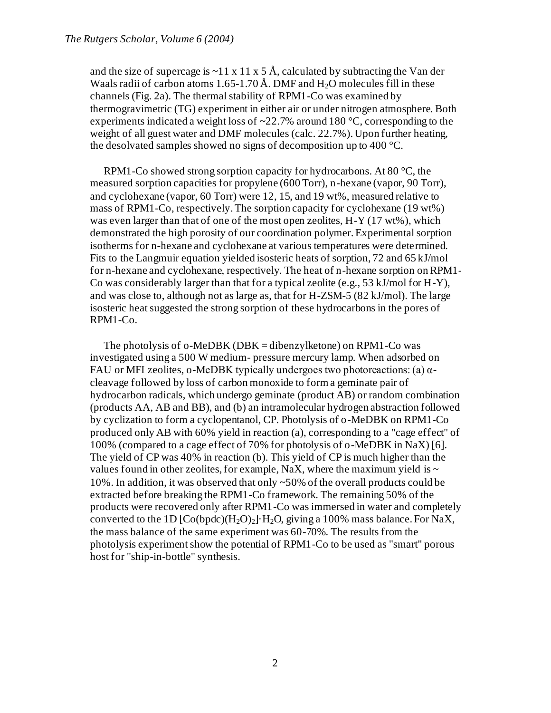and the size of supercage is  $\sim$ 11 x 11 x 5 Å, calculated by subtracting the Van der Waals radii of carbon atoms 1.65-1.70 Å. DMF and  $H_2O$  molecules fill in these channels (Fig. 2a). The thermal stability of RPM1-Co was examined by thermogravimetric (TG) experiment in either air or under nitrogen atmosphere. Both experiments indicated a weight loss of  $\approx$ 22.7% around 180 °C, corresponding to the weight of all guest water and DMF molecules (calc. 22.7%). Upon further heating, the desolvated samples showed no signs of decomposition up to 400 °C.

RPM1-Co showed strong sorption capacity for hydrocarbons. At 80 °C, the measured sorption capacities for propylene (600 Torr), n-hexane (vapor, 90 Torr), and cyclohexane (vapor, 60 Torr) were 12, 15, and 19 wt%, measured relative to mass of RPM1-Co, respectively. The sorption capacity for cyclohexane (19 wt%) was even larger than that of one of the most open zeolites, H-Y (17 wt%), which demonstrated the high porosity of our coordination polymer. Experimental sorption isotherms for n-hexane and cyclohexane at various temperatures were determined. Fits to the Langmuir equation yielded isosteric heats of sorption, 72 and 65 kJ/mol for n-hexane and cyclohexane, respectively. The heat of n-hexane sorption on RPM1- Co was considerably larger than that for a typical zeolite (e.g.,  $53 \text{ kJ/mol}$  for H-Y), and was close to, although not as large as, that for H-ZSM-5 (82 kJ/mol). The large isosteric heat suggested the strong sorption of these hydrocarbons in the pores of RPM1-Co.

The photolysis of o-MeDBK (DBK = dibenzylketone) on RPM1-Co was investigated using a 500 W medium- pressure mercury lamp. When adsorbed on FAU or MFI zeolites, o-MeDBK typically undergoes two photoreactions: (a)  $\alpha$ cleavage followed by loss of carbon monoxide to form a geminate pair of hydrocarbon radicals, which undergo geminate (product AB) or random combination (products AA, AB and BB), and (b) an intramolecular hydrogen abstraction followed by cyclization to form a cyclopentanol, CP. Photolysis of o-MeDBK on RPM1-Co produced only AB with 60% yield in reaction (a), corresponding to a "cage effect" of 100% (compared to a cage effect of 70% for photolysis of o-MeDBK in NaX) [6]. The yield of CP was 40% in reaction (b). This yield of CP is much higher than the values found in other zeolites, for example, NaX, where the maximum yield is  $\sim$ 10%. In addition, it was observed that only ~50% of the overall products could be extracted before breaking the RPM1-Co framework. The remaining 50% of the products were recovered only after RPM1-Co was immersed in water and completely converted to the 1D  $[Co(bpdc)(H_2O)_2] \cdot H_2O$ , giving a 100% mass balance. For NaX, the mass balance of the same experiment was 60-70%. The results from the photolysis experiment show the potential of RPM1-Co to be used as "smart" porous host for "ship-in-bottle" synthesis.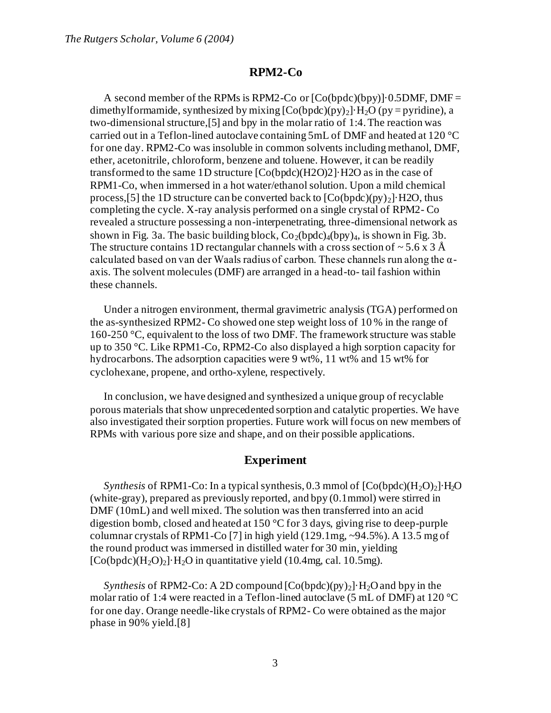#### **RPM2-Co**

A second member of the RPMs is RPM2-Co or  $[Co(bpdc)(by)] \cdot 0.5DMF$ , DMF = dimethylformamide, synthesized by mixing  $[Co(bpdc)(py)_2] \cdot H_2O$  (py = pyridine), a two-dimensional structure,[5] and bpy in the molar ratio of 1:4. The reaction was carried out in a Teflon-lined autoclave containing 5mL of DMF and heated at 120 °C for one day. RPM2-Co was insoluble in common solvents including methanol, DMF, ether, acetonitrile, chloroform, benzene and toluene. However, it can be readily transformed to the same 1D structure [Co(bpdc)(H2O)2]·H2O as in the case of RPM1-Co, when immersed in a hot water/ethanol solution. Upon a mild chemical process, [5] the 1D structure can be converted back to  $[Co(bpdc)(py)_2]$  H2O, thus completing the cycle. X-ray analysis performed on a single crystal of RPM2- Co revealed a structure possessing a non-interpenetrating, three-dimensional network as shown in Fig. 3a. The basic building block,  $Co_2(bpdc)_{4}(bpy)_{4}$ , is shown in Fig. 3b. The structure contains 1D rectangular channels with a cross section of  $\sim$  5.6 x 3 Å calculated based on van der Waals radius of carbon. These channels run along the  $\alpha$ axis. The solvent molecules (DMF) are arranged in a head-to- tail fashion within these channels.

Under a nitrogen environment, thermal gravimetric analysis (TGA) performed on the as-synthesized RPM2- Co showed one step weight loss of 10 % in the range of 160-250 °C, equivalent to the loss of two DMF. The framework structure was stable up to 350 °C. Like RPM1-Co, RPM2-Co also displayed a high sorption capacity for hydrocarbons. The adsorption capacities were 9 wt%, 11 wt% and 15 wt% for cyclohexane, propene, and ortho-xylene, respectively.

In conclusion, we have designed and synthesized a unique group of recyclable porous materials that show unprecedented sorption and catalytic properties. We have also investigated their sorption properties. Future work will focus on new members of RPMs with various pore size and shape, and on their possible applications.

## **Experiment**

*Synthesis* of RPM1-Co: In a typical synthesis, 0.3 mmol of  $[Co(bpdc)(H_2O)_2]$ <sup>1</sup>H<sub>2</sub>O (white-gray), prepared as previously reported, and bpy (0.1mmol) were stirred in DMF (10mL) and well mixed. The solution was then transferred into an acid digestion bomb, closed and heated at 150 °C for 3 days, giving rise to deep-purple columnar crystals of RPM1-Co [7] in high yield (129.1mg, ~94.5%). A 13.5 mg of the round product was immersed in distilled water for 30 min, yielding  $[Co(bpdc)(H<sub>2</sub>O)<sub>2</sub>]·H<sub>2</sub>O$  in quantitative yield (10.4mg, cal. 10.5mg).

*Synthesis* of RPM2-Co: A 2D compound  $[Co(bpdc)(py)_2] \cdot H_2O$  and bpy in the molar ratio of 1:4 were reacted in a Teflon-lined autoclave (5 mL of DMF) at 120 °C for one day. Orange needle-like crystals of RPM2- Co were obtained as the major phase in 90% yield.[8]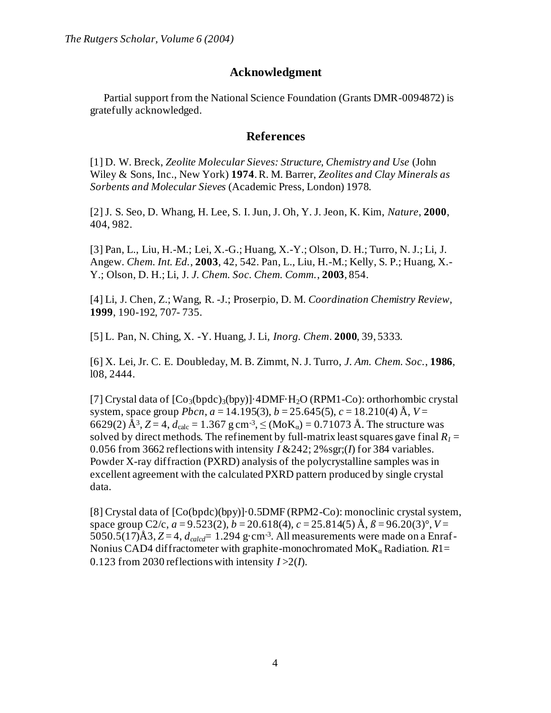# **Acknowledgment**

Partial support from the National Science Foundation (Grants DMR-0094872) is gratefully acknowledged.

## **References**

[1] D. W. Breck, *Zeolite Molecular Sieves: Structure, Chemistry and Use* (John Wiley & Sons, Inc., New York) **1974**. R. M. Barrer, *Zeolites and Clay Minerals as Sorbents and Molecular Sieves* (Academic Press, London) 1978.

[2] J. S. Seo, D. Whang, H. Lee, S. I. Jun, J. Oh, Y. J. Jeon, K. Kim, *Nature*, **2000**, 404, 982.

[3] Pan, L., Liu, H.-M.; Lei, X.-G.; Huang, X.-Y.; Olson, D. H.; Turro, N. J.; Li, J. Angew. *Chem. Int. Ed.*, **2003**, 42, 542. Pan, L., Liu, H.-M.; Kelly, S. P.; Huang, X.- Y.; Olson, D. H.; Li, J. *J. Chem. Soc. Chem. Comm.*, **2003**, 854.

[4] Li, J. Chen, Z.; Wang, R. -J.; Proserpio, D. M. *Coordination Chemistry Review*, **1999**, 190-192, 707- 735.

[5] L. Pan, N. Ching, X. -Y. Huang, J. Li, *Inorg. Chem*. **2000**, 39, 5333.

[6] X. Lei, Jr. C. E. Doubleday, M. B. Zimmt, N. J. Turro, *J. Am. Chem. Soc.*, **1986**, l08, 2444.

[7] Crystal data of  $[Co_3(bpdc)_3(bpy)]$ ·4DMF·H<sub>2</sub>O (RPM1-Co): orthorhombic crystal system, space group *Pbcn*, *a* = 14.195(3), *b* = 25.645(5), *c* = 18.210(4) Å, *V* = 6629(2)  $\AA^3$ , Z = 4,  $d_{\text{calc}}$  = 1.367 g cm<sup>-3</sup>,  $\leq$  (MoK<sub>α</sub>) = 0.71073 Å. The structure was solved by direct methods. The refinement by full-matrix least squares gave final  $R_1 =$ 0.056 from 3662 reflections with intensity  $I \& 242$ ;  $2\%$  sgr;(*I*) for 384 variables. Powder X-ray diffraction (PXRD) analysis of the polycrystalline samples was in excellent agreement with the calculated PXRD pattern produced by single crystal data.

[8] Crystal data of [Co(bpdc)(bpy)]·0.5DMF (RPM2-Co): monoclinic crystal system, space group C2/c,  $a = 9.523(2)$ ,  $b = 20.618(4)$ ,  $c = 25.814(5)$  Å,  $\beta = 96.20(3)$ °,  $V =$ 5050.5(17) $\AA$ 3, *Z* = 4,  $d_{\text{calcd}}$  = 1.294 g·cm<sup>-3</sup>. All measurements were made on a Enraf-Nonius CAD4 diffractometer with graphite-monochromated  $M_0K_\alpha$  Radiation.  $R1=$ 0.123 from 2030 reflections with intensity *I* >2(*I*).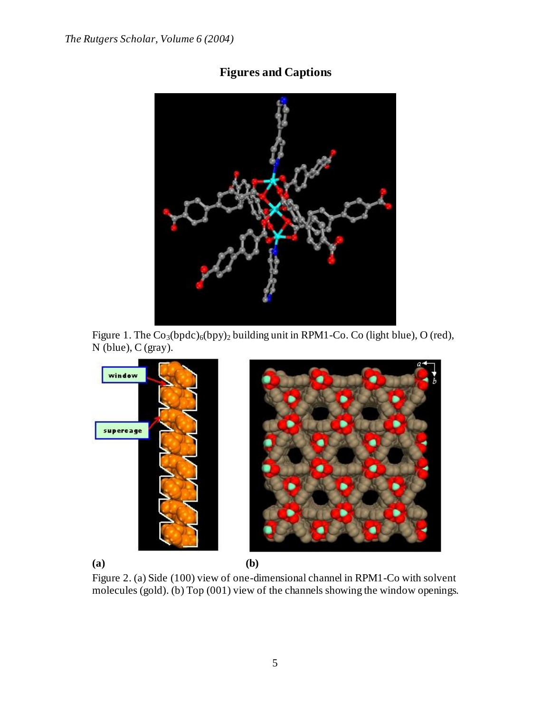# **Figures and Captions**



Figure 1. The  $Co_3(bpdc)_{6}(bpy)_{2}$  building unit in RPM1-Co. Co (light blue), O (red), N (blue), C (gray).



Figure 2. (a) Side (100) view of one-dimensional channel in RPM1-Co with solvent molecules (gold). (b) Top (001) view of the channels showing the window openings.